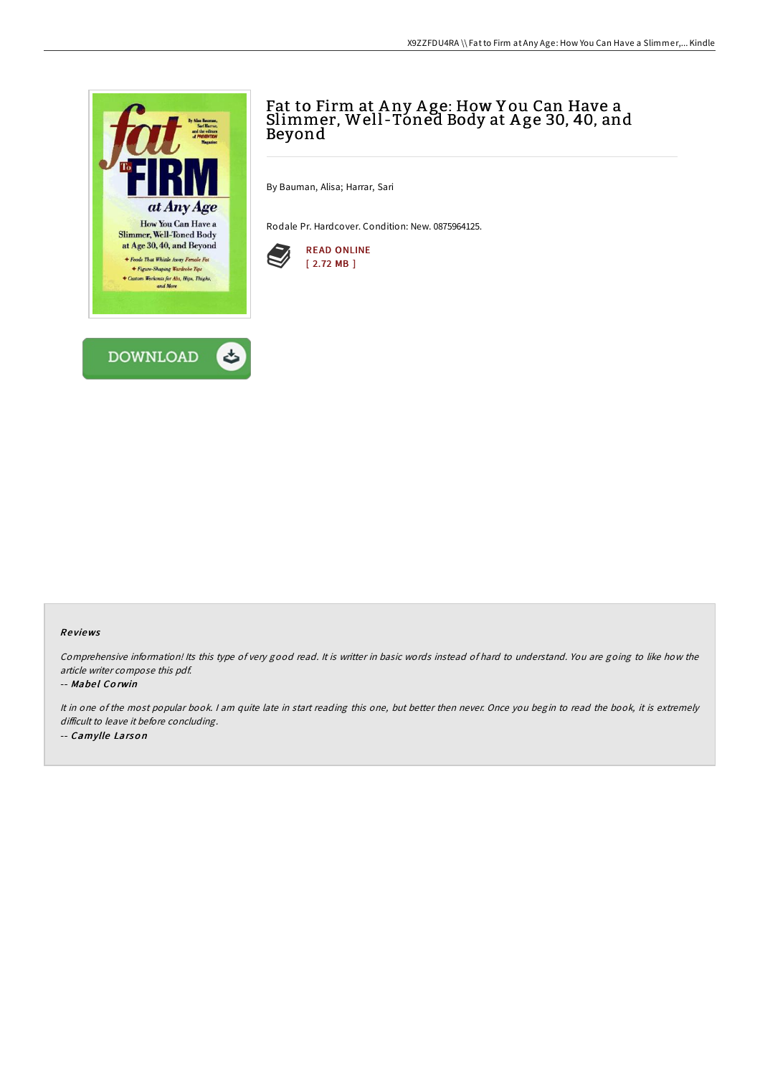

# Fat to Firm at Any Age: How You Can Have a Slimmer, Well -Toned Body at A ge 30, 40, and Beyond

By Bauman, Alisa; Harrar, Sari

Rodale Pr. Hardcover. Condition: New. 0875964125.



### Re views

Comprehensive information! Its this type of very good read. It is writter in basic words instead of hard to understand. You are going to like how the article writer compose this pdf.

#### -- Mabel Corwin

It in one of the most popular book. <sup>I</sup> am quite late in start reading this one, but better then never. Once you begin to read the book, it is extremely difficult to leave it before concluding. -- Camylle Larso <sup>n</sup>